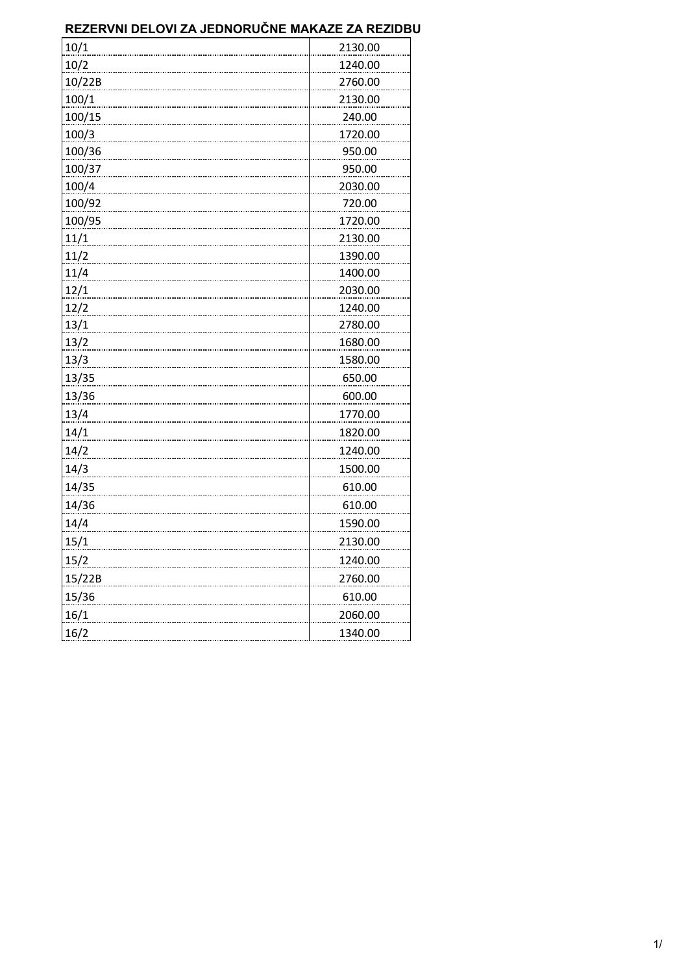| 10/1   | 2130.00 |
|--------|---------|
| 10/2   | 1240.00 |
| 10/22B | 2760.00 |
| 100/1  | 2130.00 |
| 100/15 | 240.00  |
| 100/3  | 1720.00 |
| 100/36 | 950.00  |
| 100/37 | 950.00  |
| 100/4  | 2030.00 |
| 100/92 | 720.00  |
| 100/95 | 1720.00 |
| 11/1   | 2130.00 |
| 11/2   | 1390.00 |
| 11/4   | 1400.00 |
| 12/1   | 2030.00 |
| 12/2   | 1240.00 |
| 13/1   | 2780.00 |
| 13/2   | 1680.00 |
| 13/3   | 1580.00 |
| 13/35  | 650.00  |
| 13/36  | 600.00  |
| 13/4   | 1770.00 |
| 14/1   | 1820.00 |
| 14/2   | 1240.00 |
| 14/3   | 1500.00 |
| 14/35  | 610.00  |
| 14/36  | 610.00  |
| 14/4   | 1590.00 |
| 15/1   | 2130.00 |
| 15/2   | 1240.00 |
| 15/22B | 2760.00 |
| 15/36  | 610.00  |
| 16/1   | 2060.00 |
| 16/2   | 1340.00 |
|        |         |

#### **REZERVNI DELOVI ZA JEDNORUČNE MAKAZE ZA REZIDBU**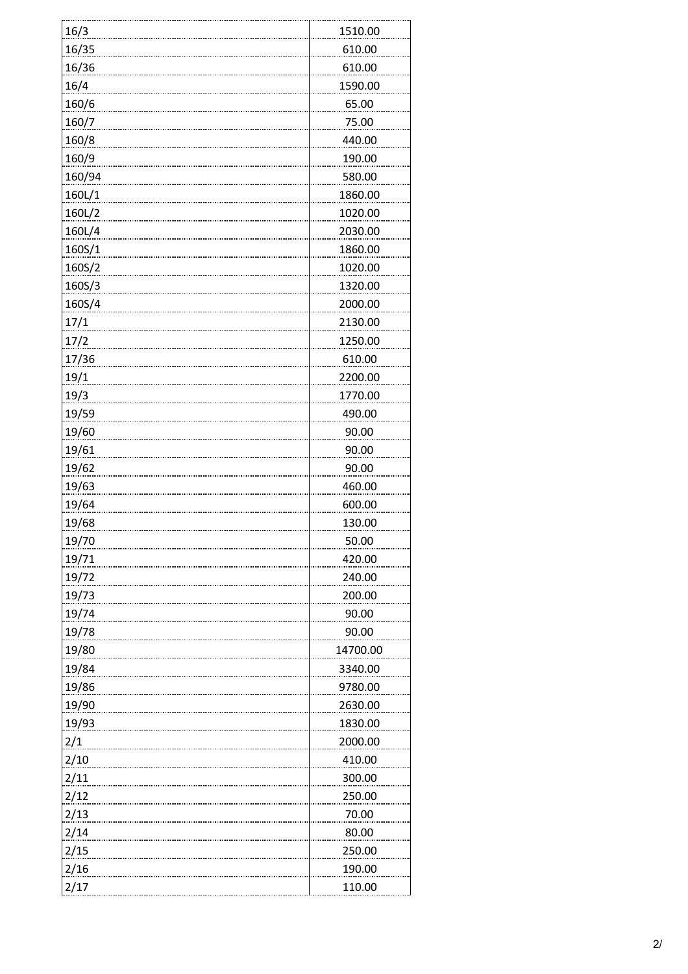| 16/3         | 1510.00  |
|--------------|----------|
| 16/35        | 610.00   |
| <u>16/36</u> | 610.00   |
| 16/4         | 1590.00  |
| 160/6        | 65.00    |
| 160/7        | 75.00    |
| 160/8        | 440.00   |
| 160/9        | 190.00   |
| 160/94       | 580.00   |
| 160L/1       | 1860.00  |
| 160L/2       | 1020.00  |
| 160L/4       | 2030.00  |
| 160S/1       | 1860.00  |
| 160S/2       | 1020.00  |
| 160S/3       | 1320.00  |
| 160S/4       | 2000.00  |
| 17/1         | 2130.00  |
| 17/2         | 1250.00  |
| 17/36        | 610.00   |
| 19/1         | 2200.00  |
| 19/3         | 1770.00  |
| 19/59        | 490.00   |
| 19/60        | 90.00    |
| 19/61        | 90.00    |
| 19/62        | 90.00    |
| 19/63        | 460.00   |
| 19/64        | 600.00   |
| 19/68        | 130.00   |
| 19/70        | 50.00    |
| 19/71        | 420.00   |
| 19/72        | 240.00   |
| 19/73        | 200.00   |
| 19/74        | 90.00    |
| 19/78        | 90.00    |
| 19/80        | 14700.00 |
| 19/84        | 3340.00  |
| 19/86        | 9780.00  |
| 19/90        | 2630.00  |
| 19/93        | 1830.00  |
| 2/1          | 2000.00  |
| 2/10         | 410.00   |
| 2/11         | 300.00   |
| 2/12         | 250.00   |
| 2/13         | 70.00    |
| 2/14         | 80.00    |
| 2/15         | 250.00   |
| 2/16         | 190.00   |
| 2/17         | 110.00   |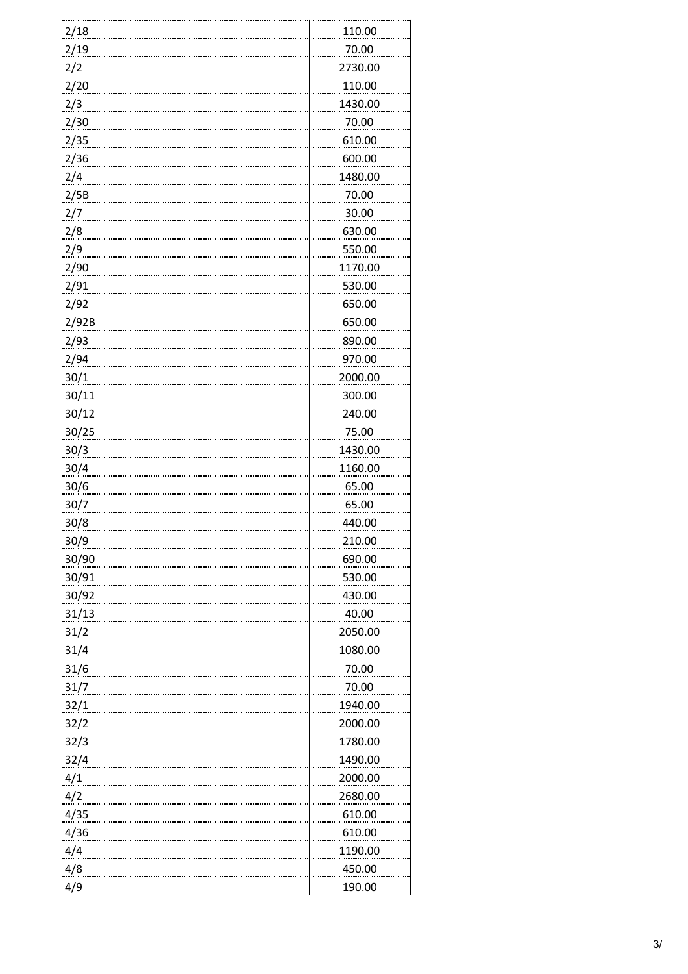| 2/18  | 110.00  |
|-------|---------|
| 2/19  | 70.00   |
| 2/2   | 2730.00 |
| 2/20  | 110.00  |
| 2/3   | 1430.00 |
| 2/30  | 70.00   |
| 2/35  | 610.00  |
| 2/36  | 600.00  |
| 2/4   | 1480.00 |
| 2/5B  | 70.00   |
| 2/7   | 30.00   |
| 2/8   | 630.00  |
| 2/9   | 550.00  |
| 2/90  | 1170.00 |
| 2/91  | 530.00  |
| 2/92  | 650.00  |
| 2/92B | 650.00  |
| 2/93  | 890.00  |
| 2/94  | 970.00  |
| 30/1  | 2000.00 |
| 30/11 | 300.00  |
| 30/12 | 240.00  |
| 30/25 | 75.00   |
| 30/3  | 1430.00 |
| 30/4  | 1160.00 |
| 30/6  | 65.00   |
| 30/7  | 65.00   |
| 30/8  | 440.00  |
| 30/9  | 210.00  |
| 30/90 | 690.00  |
| 30/91 | 530.00  |
| 30/92 | 430.00  |
| 31/13 | 40.00   |
| 31/2  | 2050.00 |
| 31/4  | 1080.00 |
| 31/6  | 70.00   |
| 31/7  | 70.00   |
| 32/1  | 1940.00 |
| 32/2  | 2000.00 |
| 32/3  | 1780.00 |
| 32/4  | 1490.00 |
| 4/1   | 2000.00 |
| 4/2   | 2680.00 |
| 4/35  | 610.00  |
| 4/36  | 610.00  |
| 4/4   | 1190.00 |
| 4/8   | 450.00  |
| 4/9   | 190.00  |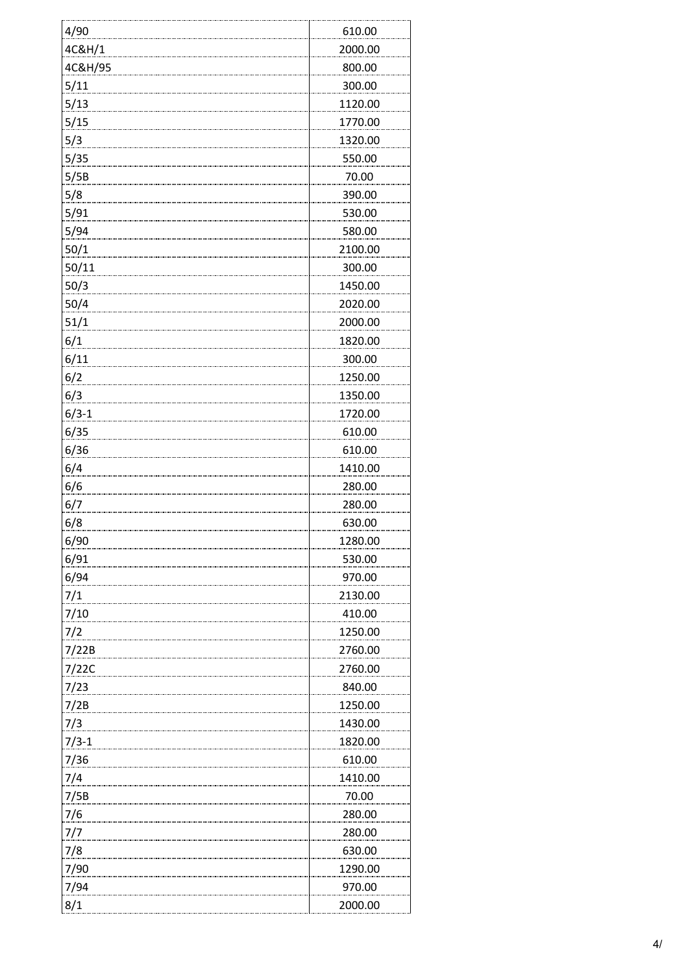| 4/90          | 610.00  |
|---------------|---------|
| 4C&H/1        | 2000.00 |
| 4C&H/95       | 800.00  |
| 5/11          | 300.00  |
| 5/13          | 1120.00 |
| 5/15          | 1770.00 |
| 5/3           | 1320.00 |
| 5/35          | 550.00  |
| 5/5B          | 70.00   |
| 5/8           | 390.00  |
| 5/91          | 530.00  |
| 5/94          | 580.00  |
| 50/1          | 2100.00 |
| 50/11         | 300.00  |
| 50/3          | 1450.00 |
| 50/4          | 2020.00 |
| 51/1          | 2000.00 |
| 6/1           | 1820.00 |
| 6/11          | 300.00  |
| 6/2           | 1250.00 |
| 6/3           | 1350.00 |
| $6/3-1$       | 1720.00 |
| 6/35          | 610.00  |
| 6/36          | 610.00  |
| 6/4           | 1410.00 |
| 6/6           | 280.00  |
| 6/7           | 280.00  |
| 6/8           | 630.00  |
| 6/90          | 1280.00 |
| 6/91          | 530.00  |
| 6/94          | 970.00  |
| 7/1           | 2130.00 |
| 7/10          | 410.00  |
| 7/2           | 1250.00 |
| 7/22B         | 2760.00 |
| 7/22C         | 2760.00 |
| 7/23          | 840.00  |
| 7/2B          | 1250.00 |
| 7/3           | 1430.00 |
| $7/3-1$       | 1820.00 |
| 7/36          | 610.00  |
| 7/4           | 1410.00 |
| 7/5B          | 70.00   |
| 7/6           | 280.00  |
| 7/7           | 280.00  |
| $\frac{7}{8}$ | 630.00  |
| 7/90          | 1290.00 |
| 7/94          | 970.00  |
| 8/1           | 2000.00 |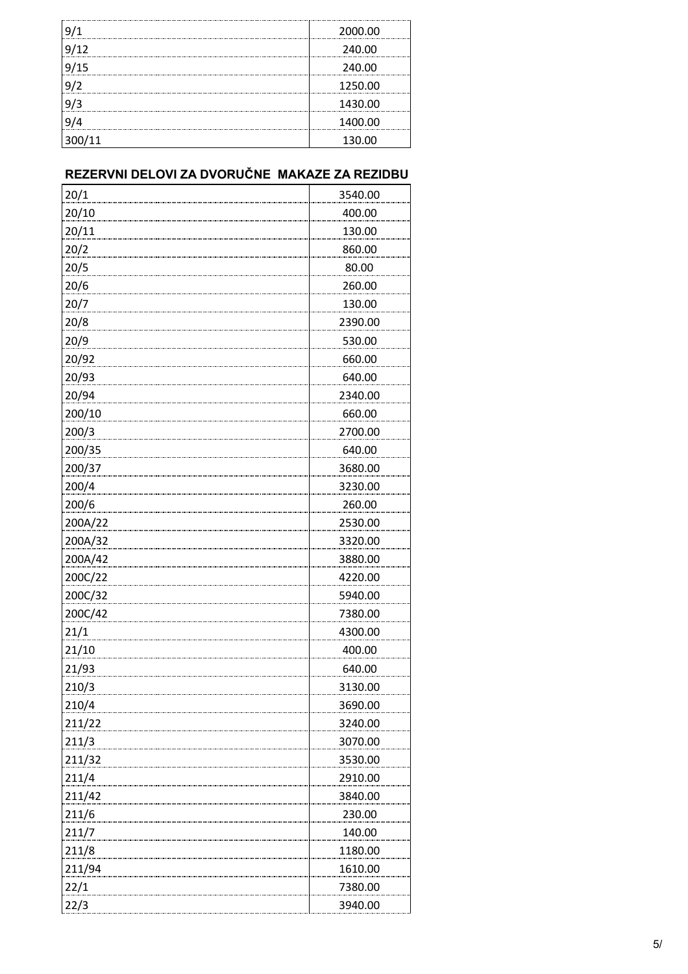| 9/1    | 2000.00 |
|--------|---------|
| 9/12   | 240.00  |
| 9/15   | 240.00  |
| 9/2    | 1250.00 |
| 9/3    | 1430.00 |
| 9/4    | 1400.00 |
| 300/11 | 130.00  |

# **REZERVNI DELOVI ZA DVORUČNE MAKAZE ZA REZIDBU**

| 20/1    | 3540.00 |
|---------|---------|
| 20/10   | 400.00  |
| 20/11   | 130.00  |
| 20/2    | 860.00  |
| 20/5    | 80.00   |
| 20/6    | 260.00  |
| 20/7    | 130.00  |
| 20/8    | 2390.00 |
| 20/9    | 530.00  |
| 20/92   | 660.00  |
| 20/93   | 640.00  |
| 20/94   | 2340.00 |
| 200/10  | 660.00  |
| 200/3   | 2700.00 |
| 200/35  | 640.00  |
| 200/37  | 3680.00 |
| 200/4   | 3230.00 |
| 200/6   | 260.00  |
| 200A/22 | 2530.00 |
| 200A/32 | 3320.00 |
| 200A/42 | 3880.00 |
| 200C/22 | 4220.00 |
| 200C/32 | 5940.00 |
| 200C/42 | 7380.00 |
| 21/1    | 4300.00 |
| 21/10   | 400.00  |
| 21/93   | 640.00  |
| 210/3   | 3130.00 |
| 210/4   | 3690.00 |
| 211/22  | 3240.00 |
| 211/3   | 3070.00 |
| 211/32  | 3530.00 |
| 211/4   | 2910.00 |
| 211/42  | 3840.00 |
| 211/6   | 230.00  |
| 211/7   | 140.00  |
| 211/8   | 1180.00 |
| 211/94  | 1610.00 |
| 22/1    | 7380.00 |
| 22/3    | 3940.00 |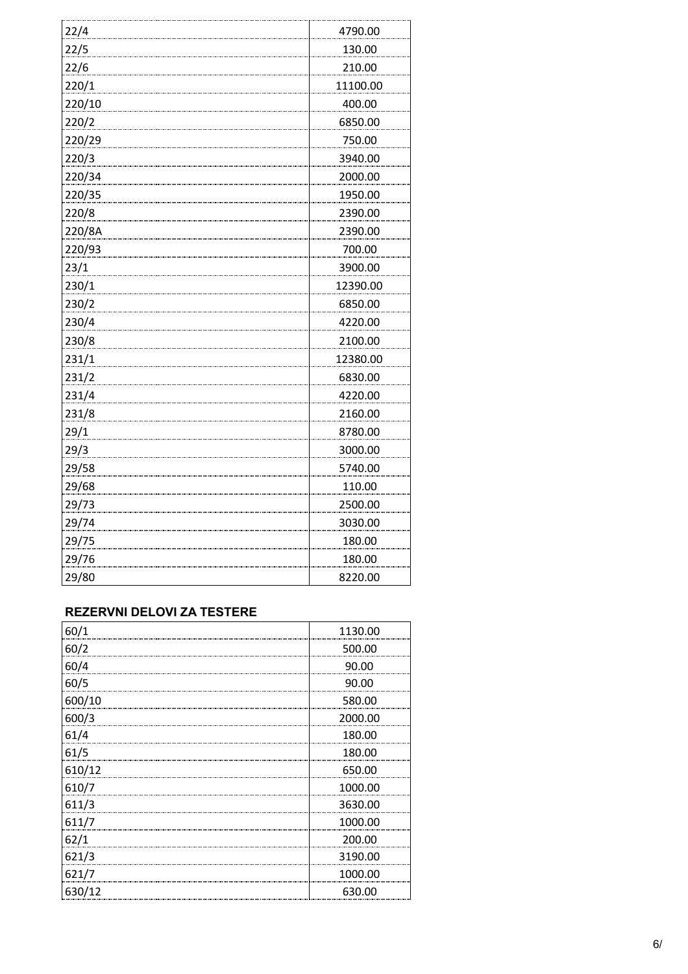| 22/4   | 4790.00  |
|--------|----------|
| 22/5   | 130.00   |
| 22/6   | 210.00   |
| 220/1  | 11100.00 |
| 220/10 | 400.00   |
| 220/2  | 6850.00  |
| 220/29 | 750.00   |
| 220/3  | 3940.00  |
| 220/34 | 2000.00  |
| 220/35 | 1950.00  |
| 220/8  | 2390.00  |
| 220/8A | 2390.00  |
| 220/93 | 700.00   |
| 23/1   | 3900.00  |
| 230/1  | 12390.00 |
| 230/2  | 6850.00  |
| 230/4  | 4220.00  |
| 230/8  | 2100.00  |
| 231/1  | 12380.00 |
| 231/2  | 6830.00  |
| 231/4  | 4220.00  |
| 231/8  | 2160.00  |
| 29/1   | 8780.00  |
| 29/3   | 3000.00  |
| 29/58  | 5740.00  |
| 29/68  | 110.00   |
| 29/73  | 2500.00  |
| 29/74  | 3030.00  |
| 29/75  | 180.00   |
| 29/76  | 180.00   |
| 29/80  | 8220.00  |

#### **REZERVNI DELOVI ZA TESTERE**

| 60/1   | 1130.00 |
|--------|---------|
| 60/2   | 500.00  |
| 60/4   | 90.00   |
| 60/5   | 90.00   |
| 600/10 | 580.00  |
| 600/3  | 2000.00 |
| 61/4   | 180.00  |
| 61/5   | 180.00  |
| 610/12 | 650.00  |
| 610/7  | 1000.00 |
| 611/3  | 3630.00 |
| 611/7  | 1000.00 |
| 62/1   | 200.00  |
| 621/3  | 3190.00 |
| 621/7  | 1000.00 |
| 630/12 | 630.00  |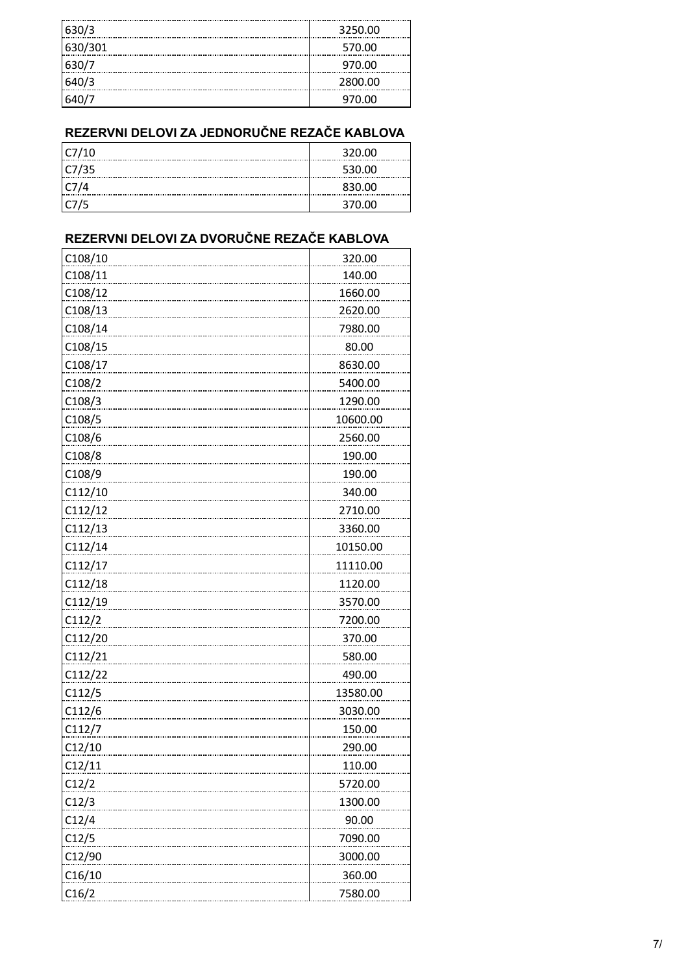| 630/3   | 3250.00 |
|---------|---------|
| 630/301 | 570.00  |
| 630/7   | 970.00  |
| 640/3   | 2800.00 |
|         | 970.00  |

# **REZERVNI DELOVI ZA JEDNORUČNE REZAČE KABLOVA**

| C7/10 | 320.00 |
|-------|--------|
| C7/35 | 530.00 |
| C7/4  | 830.00 |
| LC775 | 370.00 |

## **REZERVNI DELOVI ZA DVORUČNE REZAČE KABLOVA**

| C108/10             | 320.00        |
|---------------------|---------------|
| C108/11             | 140.00        |
| C108/12             | 1660.00       |
| C108/13             | 2620.00       |
| C108/14             | 7980.00       |
| C108/15             | 80.00         |
| C108/17             | 8630.00       |
| C108/2              | 5400.00       |
| C <sub>108</sub> /3 | 1290.00       |
| C108/5              | 10600.00      |
| C108/6              | 2560.00       |
| C108/8              | 190.00        |
| C108/9              | 190.00        |
| C112/10             | 340.00        |
| C112/12             | 2710.00       |
| C112/13             | 3360.00       |
| C112/14             | 10150.00      |
| C112/17             | 11110.00      |
| C112/18             | 1120.00       |
| C112/19             | 3570.00       |
| C112/2              | 7200.00       |
| C112/20             | 370.00        |
| C112/21             | 580.00        |
| C112/22             | 490.00        |
| C112/5              | 13580.00      |
| C112/6              | 3030.00       |
| C112/7              | 150.00        |
| C12/10              | 290.00        |
| C12/11              | <u>110.00</u> |
| C12/2               | 5720.00       |
| C12/3               | 1300.00       |
| C12/4               | 90.00         |
| C12/5               | 7090.00       |
| C12/90              | 3000.00       |
| C16/10              | 360.00        |
| C16/2               | 7580.00       |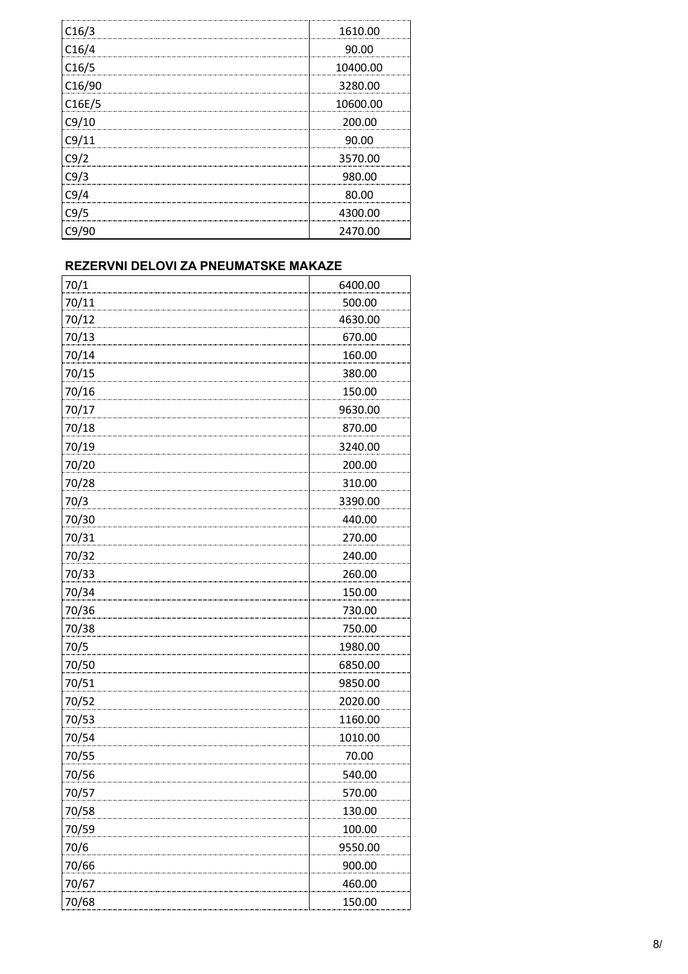| C16/3  | 1610.00  |
|--------|----------|
| C16/4  | 90.00    |
| C16/5  | 10400.00 |
| C16/90 | 3280.00  |
| C16E/5 | 10600.00 |
| C9/10  | 200.00   |
| C9/11  | 90.00    |
| C9/2   | 3570.00  |
| C9/3   | 980.00   |
| C9/4   | 80.00    |
| C9/5   | 4300.00  |
| C9/90  | 2470.00  |

#### **REZERVNI DELOVI ZA PNEUMATSKE MAKAZE**

| 70/1  | 6400.00 |
|-------|---------|
| 70/11 | 500.00  |
| 70/12 | 4630.00 |
| 70/13 | 670.00  |
| 70/14 | 160.00  |
| 70/15 | 380.00  |
| 70/16 | 150.00  |
| 70/17 | 9630.00 |
| 70/18 | 870.00  |
| 70/19 | 3240.00 |
| 70/20 | 200.00  |
| 70/28 | 310.00  |
| 70/3  | 3390.00 |
| 70/30 | 440.00  |
| 70/31 | 270.00  |
| 70/32 | 240.00  |
| 70/33 | 260.00  |
| 70/34 | 150.00  |
| 70/36 | 730.00  |
| 70/38 | 750.00  |
| 70/5  | 1980.00 |
| 70/50 | 6850.00 |
| 70/51 | 9850.00 |
| 70/52 | 2020.00 |
| 70/53 | 1160.00 |
| 70/54 | 1010.00 |
| 70/55 | 70.00   |
| 70/56 | 540.00  |
| 70/57 | 570.00  |
| 70/58 | 130.00  |
| 70/59 | 100.00  |
| 70/6  | 9550.00 |
| 70/66 | 900.00  |
| 70/67 | 460.00  |
| 70/68 | 150.00  |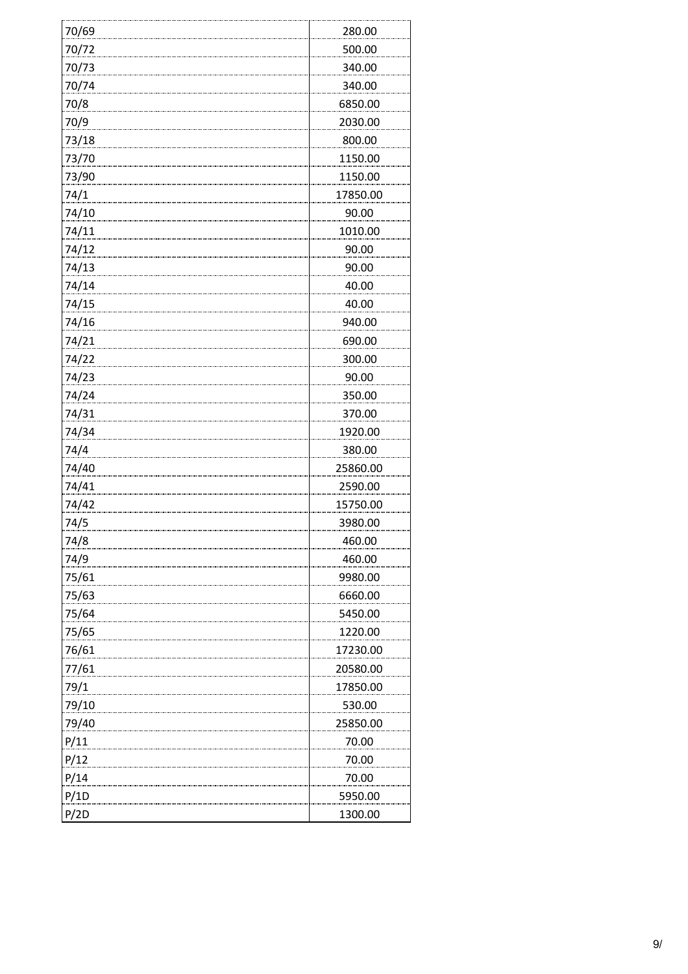| 70/69 | 280.00   |
|-------|----------|
| 70/72 | 500.00   |
| 70/73 | 340.00   |
| 70/74 | 340.00   |
| 70/8  | 6850.00  |
| 70/9  | 2030.00  |
| 73/18 | 800.00   |
| 73/70 | 1150.00  |
| 73/90 | 1150.00  |
| 74/1  | 17850.00 |
| 74/10 | 90.00    |
| 74/11 | 1010.00  |
| 74/12 | 90.00    |
| 74/13 | 90.00    |
| 74/14 | 40.00    |
| 74/15 | 40.00    |
| 74/16 | 940.00   |
| 74/21 | 690.00   |
| 74/22 | 300.00   |
| 74/23 | 90.00    |
| 74/24 | 350.00   |
| 74/31 | 370.00   |
| 74/34 | 1920.00  |
| 74/4  | 380.00   |
| 74/40 | 25860.00 |
| 74/41 | 2590.00  |
| 74/42 | 15750.00 |
| 74/5  | 3980.00  |
| 74/8  | 460.00   |
| 74/9  | 460.00   |
| 75/61 | 9980.00  |
| 75/63 | 6660.00  |
| 75/64 | 5450.00  |
| 75/65 | 1220.00  |
| 76/61 | 17230.00 |
| 77/61 | 20580.00 |
| 79/1  | 17850.00 |
| 79/10 | 530.00   |
| 79/40 | 25850.00 |
| P/11  | 70.00    |
| P/12  | 70.00    |
| P/14  | 70.00    |
| P/1D  | 5950.00  |
| P/2D  | 1300.00  |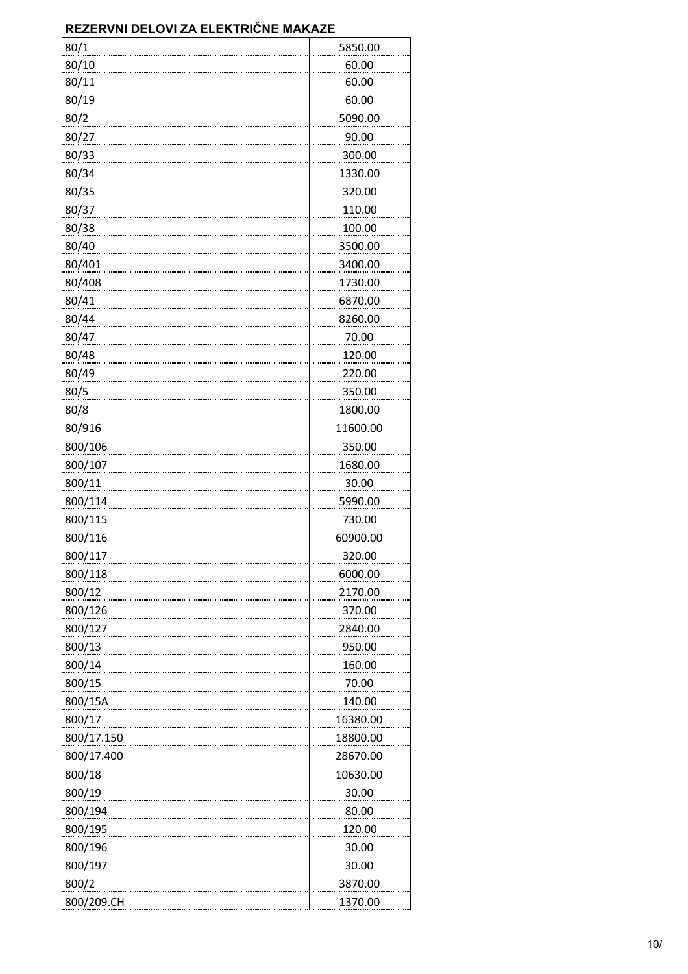### **REZERVNI DELOVI ZA ELEKTRIČNE MAKAZE**

| 80/1       | 5850.00  |
|------------|----------|
| 80/10      | 60.00    |
| 80/11      | 60.00    |
| 80/19      | 60.00    |
| 80/2       | 5090.00  |
| 80/27      | 90.00    |
| 80/33      | 300.00   |
| 80/34      | 1330.00  |
| 80/35      | 320.00   |
| 80/37      | 110.00   |
| 80/38      | 100.00   |
| 80/40      | 3500.00  |
| 80/401     | 3400.00  |
| 80/408     | 1730.00  |
| 80/41      | 6870.00  |
| 80/44      | 8260.00  |
| 80/47      | 70.00    |
| 80/48      | 120.00   |
| 80/49      | 220.00   |
| 80/5       | 350.00   |
| 80/8       | 1800.00  |
| 80/916     | 11600.00 |
| 800/106    | 350.00   |
| 800/107    | 1680.00  |
| 800/11     | 30.00    |
| 800/114    | 5990.00  |
| 800/115    | 730.00   |
| 800/116    | 60900.00 |
| 800/117    | 320.00   |
| 800/118    | 6000.00  |
| 800/12     | 2170.00  |
| 800/126    | 370.00   |
| 800/127    | 2840.00  |
| 800/13     | 950.00   |
| 800/14     | 160.00   |
| 800/15     | 70.00    |
| 800/15A    | 140.00   |
| 800/17     | 16380.00 |
| 800/17.150 | 18800.00 |
| 800/17.400 | 28670.00 |
| 800/18     | 10630.00 |
| 800/19     | 30.00    |
| 800/194    | 80.00    |
| 800/195    | 120.00   |
| 800/196    | 30.00    |
| 800/197    | 30.00    |
| 800/2      | 3870.00  |
| 800/209.CH | 1370.00  |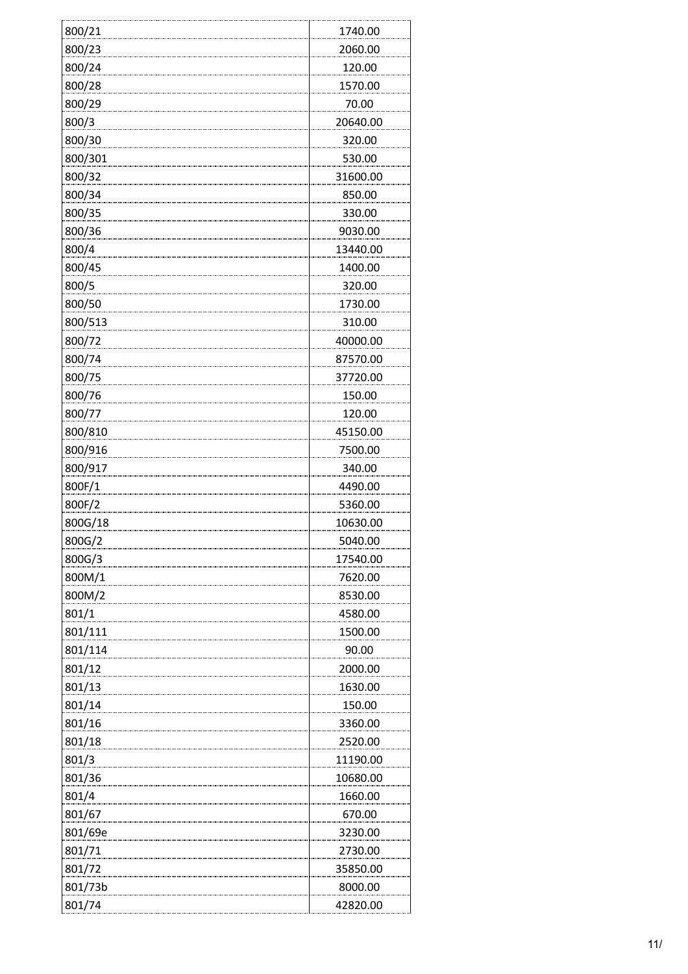| 800/21  | 1740.00  |
|---------|----------|
| 800/23  | 2060.00  |
| 800/24  | 120.00   |
| 800/28  | 1570.00  |
| 800/29  | 70.00    |
| 800/3   | 20640.00 |
| 800/30  | 320.00   |
| 800/301 | 530.00   |
| 800/32  | 31600.00 |
| 800/34  | 850.00   |
| 800/35  | 330.00   |
| 800/36  | 9030.00  |
| 800/4   | 13440.00 |
| 800/45  | 1400.00  |
| 800/5   | 320.00   |
| 800/50  | 1730.00  |
| 800/513 | 310.00   |
| 800/72  | 40000.00 |
| 800/74  | 87570.00 |
| 800/75  | 37720.00 |
| 800/76  | 150.00   |
| 800/77  | 120.00   |
| 800/810 | 45150.00 |
| 800/916 | 7500.00  |
| 800/917 | 340.00   |
| 800F/1  | 4490.00  |
| 800F/2  | 5360.00  |
| 800G/18 | 10630.00 |
| 800G/2  | 5040.00  |
| 800G/3  | 17540.00 |
| 800M/1  | 7620.00  |
| 800M/2  | 8530.00  |
| 801/1   | 4580.00  |
| 801/111 | 1500.00  |
| 801/114 | 90.00    |
| 801/12  | 2000.00  |
| 801/13  | 1630.00  |
| 801/14  | 150.00   |
| 801/16  | 3360.00  |
| 801/18  | 2520.00  |
| 801/3   | 11190.00 |
| 801/36  | 10680.00 |
| 801/4   | 1660.00  |
| 801/67  | 670.00   |
| 801/69e | 3230.00  |
| 801/71  | 2730.00  |
| 801/72  | 35850.00 |
| 801/73b | 8000.00  |
| 801/74  | 42820.00 |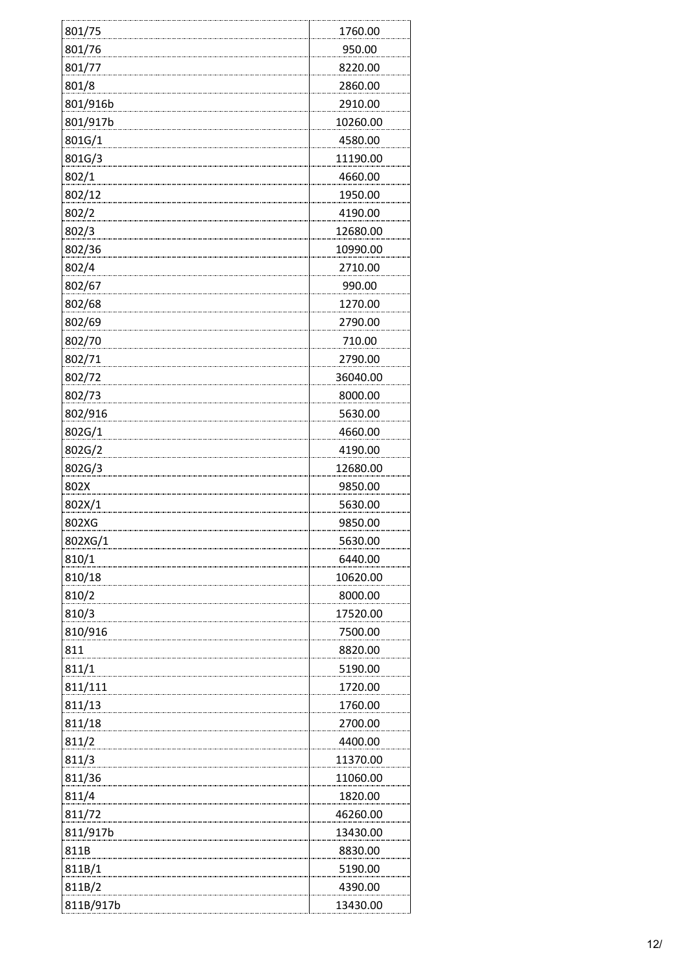| 801/75    | 1760.00  |
|-----------|----------|
| 801/76    | 950.00   |
| 801/77    | 8220.00  |
| 801/8     | 2860.00  |
| 801/916b  | 2910.00  |
| 801/917b  | 10260.00 |
| 801G/1    | 4580.00  |
| 801G/3    | 11190.00 |
| 802/1     | 4660.00  |
| 802/12    | 1950.00  |
| 802/2     | 4190.00  |
| 802/3     | 12680.00 |
| 802/36    | 10990.00 |
| 802/4     | 2710.00  |
| 802/67    | 990.00   |
| 802/68    | 1270.00  |
| 802/69    | 2790.00  |
| 802/70    | 710.00   |
| 802/71    | 2790.00  |
| 802/72    | 36040.00 |
| 802/73    | 8000.00  |
| 802/916   | 5630.00  |
| 802G/1    | 4660.00  |
| 802G/2    | 4190.00  |
| 802G/3    | 12680.00 |
| 802X      | 9850.00  |
| 802X/1    | 5630.00  |
| 802XG     | 9850.00  |
| 802XG/1   | 5630.00  |
| 810/1     | 6440.00  |
| 810/18    | 10620.00 |
| 810/2     | 8000.00  |
| 810/3     | 17520.00 |
| 810/916   | 7500.00  |
| 811       | 8820.00  |
| 811/1     | 5190.00  |
| 811/111   | 1720.00  |
| 811/13    | 1760.00  |
| 811/18    | 2700.00  |
| 811/2     | 4400.00  |
| 811/3     | 11370.00 |
| 811/36    | 11060.00 |
| 811/4     | 1820.00  |
| 811/72    | 46260.00 |
| 811/917b  | 13430.00 |
| 811B      | 8830.00  |
| 811B/1    | 5190.00  |
| 811B/2    | 4390.00  |
| 811B/917b | 13430.00 |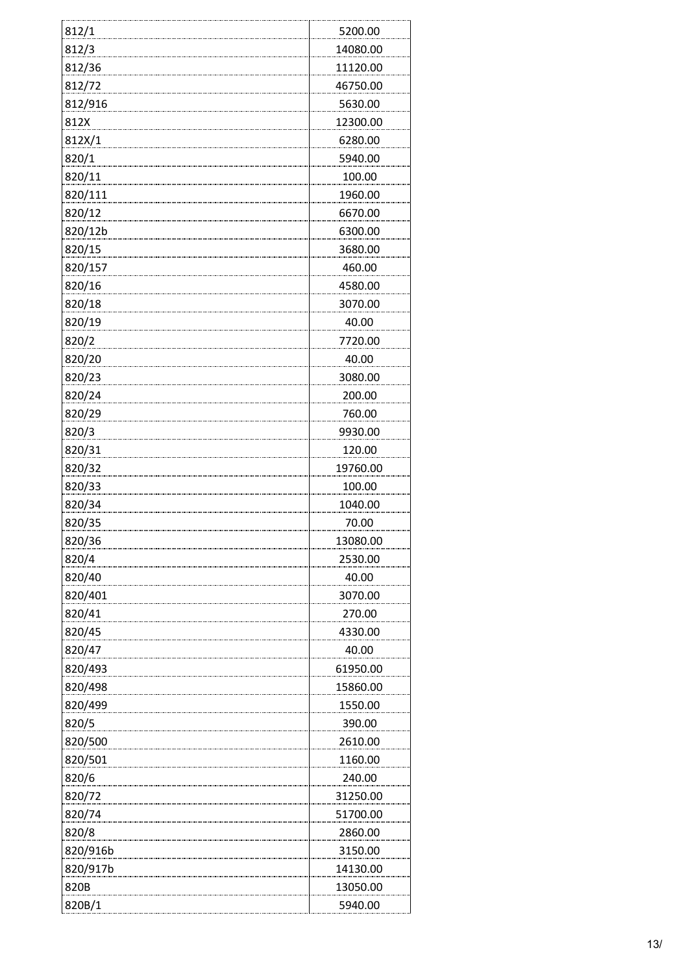| 812/1    | 5200.00  |
|----------|----------|
| 812/3    | 14080.00 |
| 812/36   | 11120.00 |
| 812/72   | 46750.00 |
| 812/916  | 5630.00  |
| 812X     | 12300.00 |
| 812X/1   | 6280.00  |
| 820/1    | 5940.00  |
| 820/11   | 100.00   |
| 820/111  | 1960.00  |
| 820/12   | 6670.00  |
| 820/12b  | 6300.00  |
| 820/15   | 3680.00  |
| 820/157  | 460.00   |
| 820/16   | 4580.00  |
| 820/18   | 3070.00  |
| 820/19   | 40.00    |
| 820/2    | 7720.00  |
| 820/20   | 40.00    |
| 820/23   | 3080.00  |
| 820/24   | 200.00   |
| 820/29   | 760.00   |
| 820/3    | 9930.00  |
| 820/31   | 120.00   |
| 820/32   | 19760.00 |
| 820/33   | 100.00   |
| 820/34   | 1040.00  |
| 820/35   | 70.00    |
| 820/36   | 13080.00 |
| 820/4    | 2530.00  |
| 820/40   | 40.00    |
| 820/401  | 3070.00  |
| 820/41   | 270.00   |
| 820/45   | 4330.00  |
| 820/47   | 40.00    |
| 820/493  | 61950.00 |
| 820/498  | 15860.00 |
| 820/499  | 1550.00  |
| 820/5    | 390.00   |
| 820/500  | 2610.00  |
| 820/501  | 1160.00  |
| 820/6    | 240.00   |
| 820/72   | 31250.00 |
| 820/74   | 51700.00 |
| 820/8    | 2860.00  |
| 820/916b | 3150.00  |
| 820/917b | 14130.00 |
| 820B     | 13050.00 |
| 820B/1   | 5940.00  |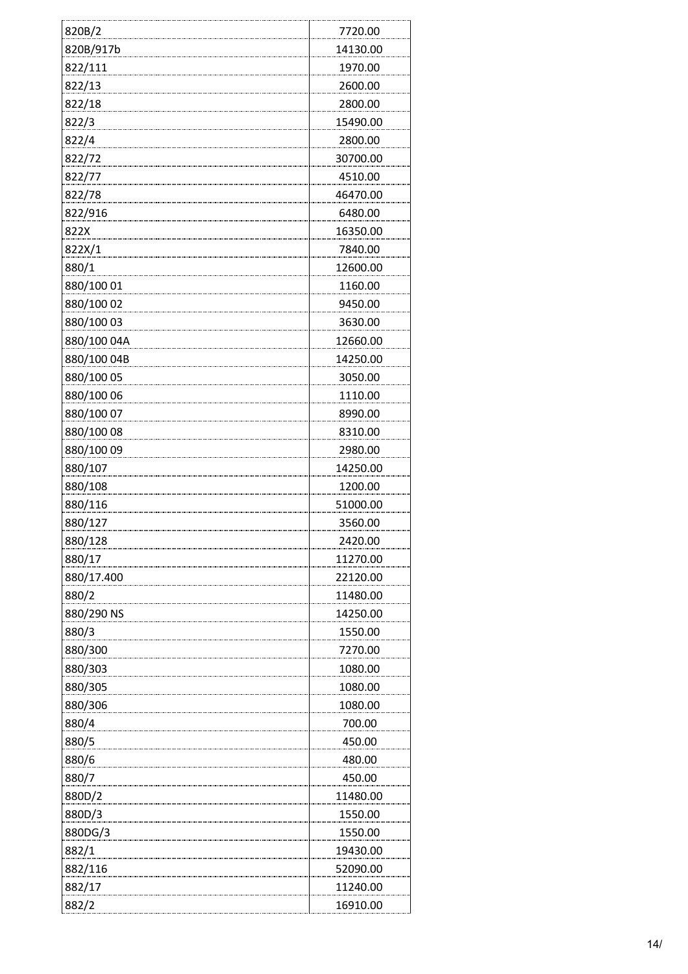| 820B/2      | 7720.00  |
|-------------|----------|
| 820B/917b   | 14130.00 |
| 822/111     | 1970.00  |
| 822/13      | 2600.00  |
| 822/18      | 2800.00  |
| 822/3       | 15490.00 |
| 822/4       | 2800.00  |
| 822/72      | 30700.00 |
| 822/77      | 4510.00  |
| 822/78      | 46470.00 |
| 822/916     | 6480.00  |
| 822X        | 16350.00 |
| 822X/1      | 7840.00  |
| 880/1       | 12600.00 |
| 880/100 01  | 1160.00  |
| 880/100 02  | 9450.00  |
| 880/100 03  | 3630.00  |
| 880/100 04A | 12660.00 |
| 880/100 04B | 14250.00 |
| 880/100 05  | 3050.00  |
| 880/100 06  | 1110.00  |
| 880/100 07  | 8990.00  |
| 880/100 08  | 8310.00  |
| 880/100 09  | 2980.00  |
| 880/107     | 14250.00 |
| 880/108     | 1200.00  |
| 880/116     | 51000.00 |
| 880/127     | 3560.00  |
| 880/128     | 2420.00  |
| 880/17      | 11270.00 |
| 880/17.400  | 22120.00 |
| 880/2       | 11480.00 |
| 880/290 NS  | 14250.00 |
| 880/3       | 1550.00  |
| 880/300     | 7270.00  |
| 880/303     | 1080.00  |
| 880/305     | 1080.00  |
| 880/306     | 1080.00  |
| 880/4       | 700.00   |
| 880/5       | 450.00   |
| 880/6       | 480.00   |
| 880/7       | 450.00   |
| 880D/2      | 11480.00 |
| 880D/3      | 1550.00  |
| 880DG/3     | 1550.00  |
| 882/1       | 19430.00 |
| 882/116     | 52090.00 |
| 882/17      | 11240.00 |
| 882/2       | 16910.00 |